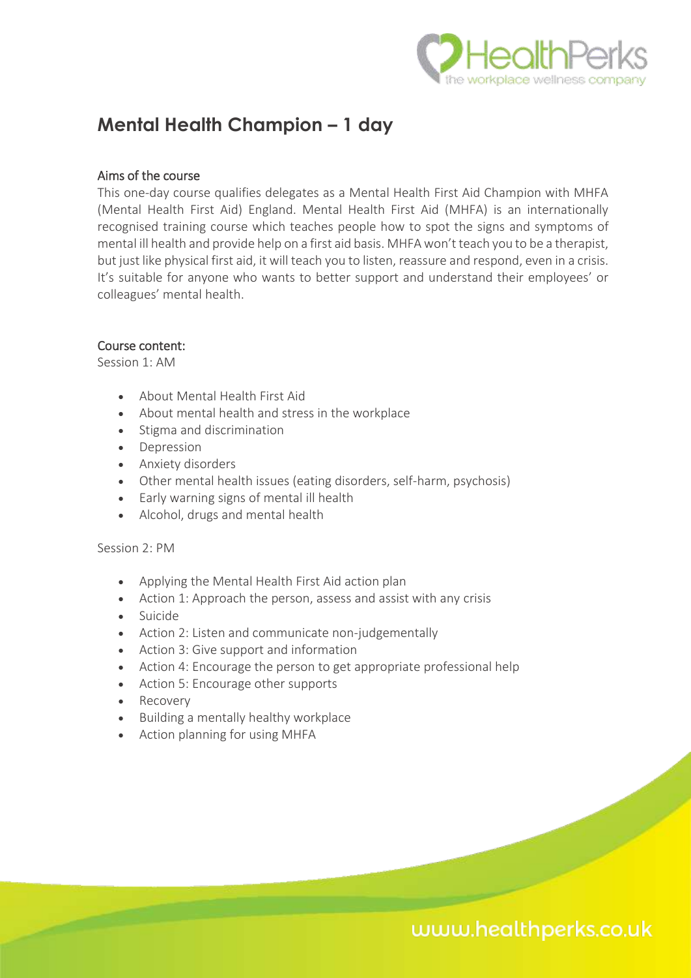

## **Mental Health Champion – 1 day**

### Aims of the course

This one-day course qualifies delegates as a Mental Health First Aid Champion with MHFA (Mental Health First Aid) England. Mental Health First Aid (MHFA) is an internationally recognised training course which teaches people how to spot the signs and symptoms of mental ill health and provide help on a first aid basis. MHFA won't teach you to be a therapist, but just like physical first aid, it will teach you to listen, reassure and respond, even in a crisis. It's suitable for anyone who wants to better support and understand their employees' or colleagues' mental health.

### Course content:

Session 1: AM

- About Mental Health First Aid
- About mental health and stress in the workplace
- Stigma and discrimination
- Depression
- Anxiety disorders
- Other mental health issues (eating disorders, self-harm, psychosis)
- Early warning signs of mental ill health
- Alcohol, drugs and mental health

Session 2: PM

- Applying the Mental Health First Aid action plan
- Action 1: Approach the person, assess and assist with any crisis
- Suicide
- Action 2: Listen and communicate non-judgementally
- Action 3: Give support and information
- Action 4: Encourage the person to get appropriate professional help
- Action 5: Encourage other supports
- Recovery
- Building a mentally healthy workplace
- Action planning for using MHFA

# www.healthperks.co.uk